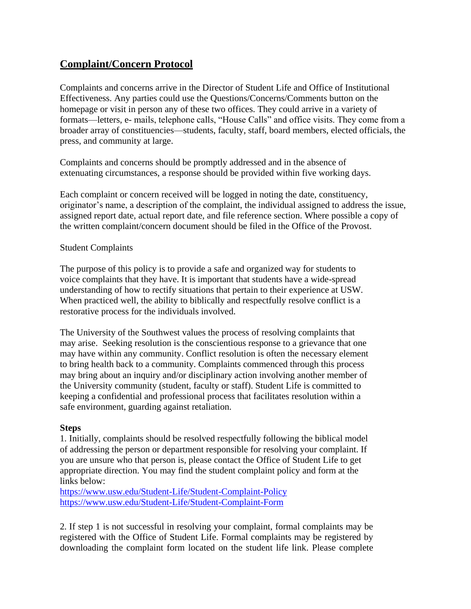## **Complaint/Concern Protocol**

Complaints and concerns arrive in the Director of Student Life and Office of Institutional Effectiveness. Any parties could use the Questions/Concerns/Comments button on the homepage or visit in person any of these two offices. They could arrive in a variety of formats—letters, e- mails, telephone calls, "House Calls" and office visits. They come from a broader array of constituencies—students, faculty, staff, board members, elected officials, the press, and community at large.

Complaints and concerns should be promptly addressed and in the absence of extenuating circumstances, a response should be provided within five working days.

Each complaint or concern received will be logged in noting the date, constituency, originator's name, a description of the complaint, the individual assigned to address the issue, assigned report date, actual report date, and file reference section. Where possible a copy of the written complaint/concern document should be filed in the Office of the Provost.

## Student Complaints

The purpose of this policy is to provide a safe and organized way for students to voice complaints that they have. It is important that students have a wide-spread understanding of how to rectify situations that pertain to their experience at USW. When practiced well, the ability to biblically and respectfully resolve conflict is a restorative process for the individuals involved.

The University of the Southwest values the process of resolving complaints that may arise. Seeking resolution is the conscientious response to a grievance that one may have within any community. Conflict resolution is often the necessary element to bring health back to a community. Complaints commenced through this process may bring about an inquiry and/or disciplinary action involving another member of the University community (student, faculty or staff). Student Life is committed to keeping a confidential and professional process that facilitates resolution within a safe environment, guarding against retaliation.

## **Steps**

1. Initially, complaints should be resolved respectfully following the biblical model of addressing the person or department responsible for resolving your complaint. If you are unsure who that person is, please contact the Office of Student Life to get appropriate direction. You may find the student complaint policy and form at the links below:

<https://www.usw.edu/Student-Life/Student-Complaint-Policy> <https://www.usw.edu/Student-Life/Student-Complaint-Form>

2. If step 1 is not successful in resolving your complaint, formal complaints may be registered with the Office of Student Life. Formal complaints may be registered by downloading the complaint form located on the student life link. Please complete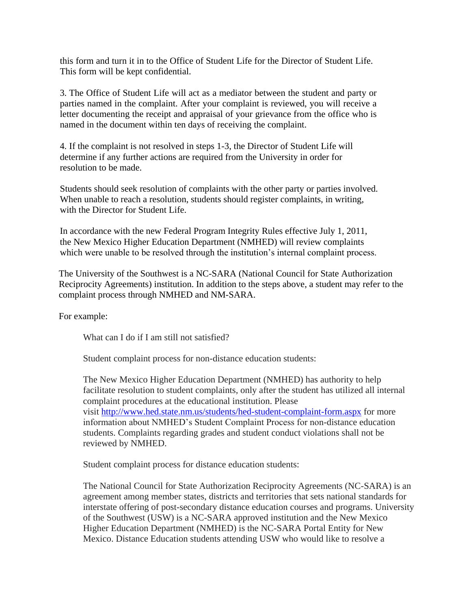this form and turn it in to the Office of Student Life for the Director of Student Life. This form will be kept confidential.

3. The Office of Student Life will act as a mediator between the student and party or parties named in the complaint. After your complaint is reviewed, you will receive a letter documenting the receipt and appraisal of your grievance from the office who is named in the document within ten days of receiving the complaint.

4. If the complaint is not resolved in steps 1-3, the Director of Student Life will determine if any further actions are required from the University in order for resolution to be made.

Students should seek resolution of complaints with the other party or parties involved. When unable to reach a resolution, students should register complaints, in writing, with the Director for Student Life.

In accordance with the new Federal Program Integrity Rules effective July 1, 2011, the New Mexico Higher Education Department (NMHED) will review complaints which were unable to be resolved through the institution's internal complaint process.

The University of the Southwest is a NC-SARA (National Council for State Authorization Reciprocity Agreements) institution. In addition to the steps above, a student may refer to the complaint process through NMHED and NM-SARA.

For example:

What can I do if I am still not satisfied?

Student complaint process for non-distance education students:

The New Mexico Higher Education Department (NMHED) has authority to help facilitate resolution to student complaints, only after the student has utilized all internal complaint procedures at the educational institution. Please visit [http://www.hed.state.nm.us/students/hed-student-complaint-form.aspx](https://nam12.safelinks.protection.outlook.com/?url=http%3A%2F%2Fwww.hed.state.nm.us%2Fstudents%2Fhed-student-complaint-form.aspx&data=02%7C01%7Ccarla.slentz%40sfcc.edu%7C5ff5dc387c4f4834488f08d77a6d0931%7Cba2c7e0877ca4454962bb889443334c7%7C0%7C0%7C637112481079892617&sdata=a3eEMlbc5TC2XtGZPiHnhrHRD4yElLoHYPkkiNsItp4%3D&reserved=0) for more information about NMHED's Student Complaint Process for non-distance education students. Complaints regarding grades and student conduct violations shall not be reviewed by NMHED.

Student complaint process for distance education students:

The National Council for State Authorization Reciprocity Agreements (NC-SARA) is an agreement among member states, districts and territories that sets national standards for interstate offering of post-secondary distance education courses and programs. University of the Southwest (USW) is a NC-SARA approved institution and the New Mexico Higher Education Department (NMHED) is the NC-SARA Portal Entity for New Mexico. Distance Education students attending USW who would like to resolve a